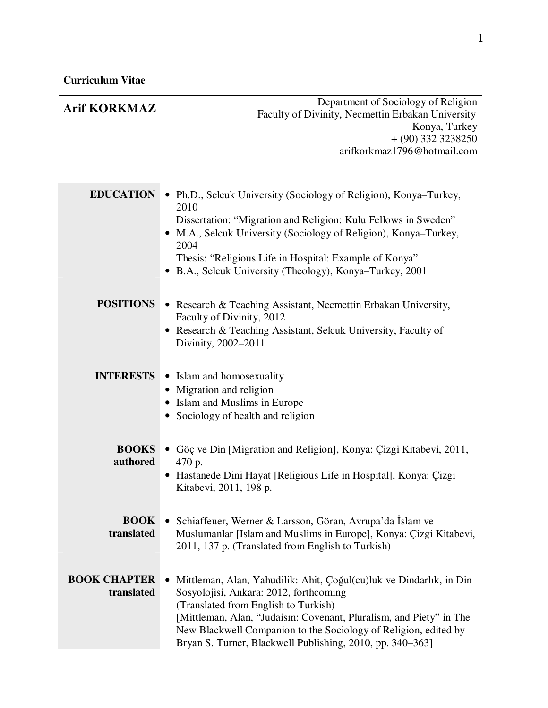## **Arif KORKMAZ** Department of Sociology of Religion Faculty of Divinity, Necmettin Erbakan University Konya, Turkey + (90) 332 3238250 arifkorkmaz1796@hotmail.com **EDUCATION** • Ph.D., Selcuk University (Sociology of Religion), Konya–Turkey, 2010 Dissertation: "Migration and Religion: Kulu Fellows in Sweden" • M.A., Selcuk University (Sociology of Religion), Konya–Turkey, 2004 Thesis: "Religious Life in Hospital: Example of Konya" • B.A., Selcuk University (Theology), Konya–Turkey, 2001 **POSITIONS** • Research & Teaching Assistant, Necmettin Erbakan University, Faculty of Divinity, 2012 • Research & Teaching Assistant, Selcuk University, Faculty of Divinity, 2002–2011 **INTERESTS** • Islam and homosexuality • Migration and religion • Islam and Muslims in Europe • Sociology of health and religion **BOOKS**  • Göç ve Din [Migration and Religion], Konya: Çizgi Kitabevi, 2011, **authored** 470 p. • Hastanede Dini Hayat [Religious Life in Hospital], Konya: Çizgi Kitabevi, 2011, 198 p. **BOOK** • Schiaffeuer, Werner & Larsson, Göran, Avrupa'da İslam ve **translated** Müslümanlar [Islam and Muslims in Europe], Konya: Çizgi Kitabevi, 2011, 137 p. (Translated from English to Turkish) **BOOK CHAPTER**  • Mittleman, Alan, Yahudilik: Ahit, Çoğul(cu)luk ve Dindarlık, in Din **translated** Sosyolojisi, Ankara: 2012, forthcoming (Translated from English to Turkish) [Mittleman, Alan, "Judaism: Covenant, Pluralism, and Piety" in The New Blackwell Companion to the Sociology of Religion, edited by

Bryan S. Turner, Blackwell Publishing, 2010, pp. 340–363]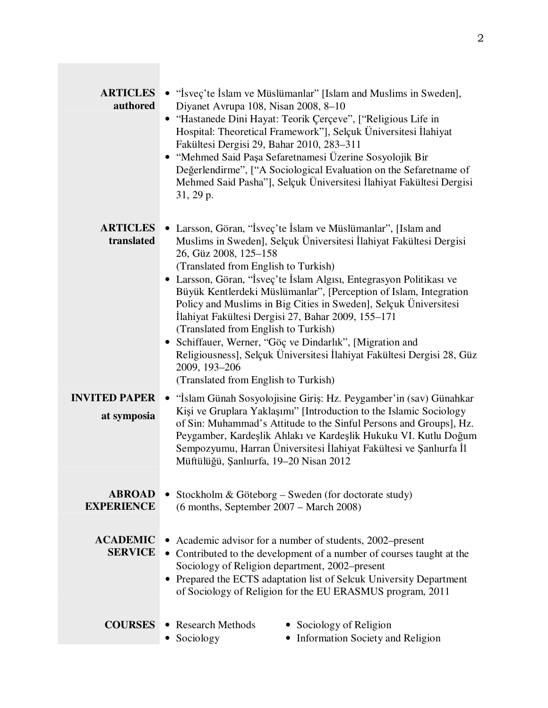| <b>ARTICLES</b><br>authored         | • "Isveç'te Islam ve Müslümanlar" [Islam and Muslims in Sweden],<br>Diyanet Avrupa 108, Nisan 2008, 8-10<br>· "Hastanede Dini Hayat: Teorik Çerçeve", ["Religious Life in<br>Hospital: Theoretical Framework"], Selçuk Üniversitesi İlahiyat<br>Fakültesi Dergisi 29, Bahar 2010, 283-311<br>· "Mehmed Said Paşa Sefaretnamesi Üzerine Sosyolojik Bir<br>Değerlendirme", ["A Sociological Evaluation on the Sefaretname of<br>Mehmed Said Pasha"], Selçuk Üniversitesi İlahiyat Fakültesi Dergisi<br>$31, 29$ p.                                                                                                                                                                                                  |  |
|-------------------------------------|-------------------------------------------------------------------------------------------------------------------------------------------------------------------------------------------------------------------------------------------------------------------------------------------------------------------------------------------------------------------------------------------------------------------------------------------------------------------------------------------------------------------------------------------------------------------------------------------------------------------------------------------------------------------------------------------------------------------|--|
| <b>ARTICLES</b><br>translated       | • Larsson, Göran, "İsveç'te İslam ve Müslümanlar", [Islam and<br>Muslims in Sweden], Selçuk Üniversitesi İlahiyat Fakültesi Dergisi<br>26, Güz 2008, 125-158<br>(Translated from English to Turkish)<br>• Larsson, Göran, "İsveç'te İslam Algısı, Entegrasyon Politikası ve<br>Büyük Kentlerdeki Müslümanlar", [Perception of Islam, Integration<br>Policy and Muslims in Big Cities in Sweden], Selçuk Üniversitesi<br>İlahiyat Fakültesi Dergisi 27, Bahar 2009, 155–171<br>(Translated from English to Turkish)<br>• Schiffauer, Werner, "Göç ve Dindarlık", [Migration and<br>Religiousness], Selçuk Üniversitesi İlahiyat Fakültesi Dergisi 28, Güz<br>2009, 193-206<br>(Translated from English to Turkish) |  |
| <b>INVITED PAPER</b><br>at symposia | • "Islam Günah Sosyolojisine Giriş: Hz. Peygamber'in (sav) Günahkar<br>Kişi ve Gruplara Yaklaşımı" [Introduction to the Islamic Sociology<br>of Sin: Muhammad's Attitude to the Sinful Persons and Groups], Hz.<br>Peygamber, Kardeşlik Ahlakı ve Kardeşlik Hukuku VI. Kutlu Doğum<br>Sempozyumu, Harran Üniversitesi İlahiyat Fakültesi ve Şanlıurfa İl<br>Müftülüğü, Şanlıurfa, 19-20 Nisan 2012                                                                                                                                                                                                                                                                                                                |  |
| <b>ABROAD</b><br><b>EXPERIENCE</b>  | Stockholm & Göteborg – Sweden (for doctorate study)<br>$(6$ months, September 2007 – March 2008)                                                                                                                                                                                                                                                                                                                                                                                                                                                                                                                                                                                                                  |  |
| <b>ACADEMIC</b><br><b>SERVICE</b>   | Academic advisor for a number of students, 2002–present<br>• Contributed to the development of a number of courses taught at the<br>Sociology of Religion department, 2002-present<br>• Prepared the ECTS adaptation list of Selcuk University Department<br>of Sociology of Religion for the EU ERASMUS program, 2011                                                                                                                                                                                                                                                                                                                                                                                            |  |
| <b>COURSES</b>                      | • Research Methods<br>• Sociology of Religion<br>• Information Society and Religion<br>Sociology                                                                                                                                                                                                                                                                                                                                                                                                                                                                                                                                                                                                                  |  |